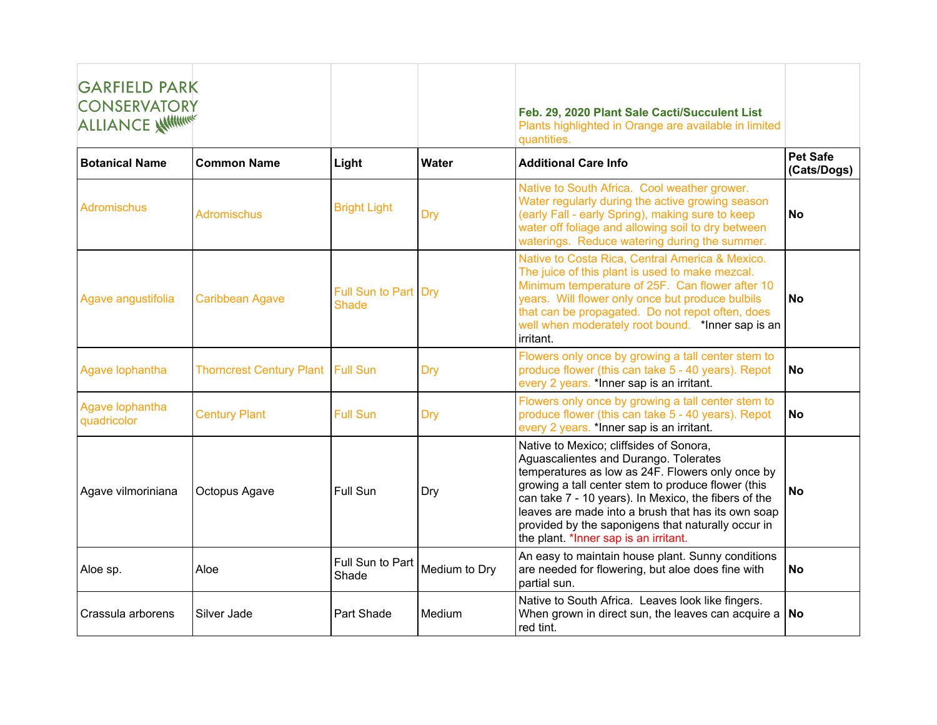| <b>GARFIELD PARK</b><br><b>CONSERVATORY</b><br><b>ALLIANCE AHHHHHHH</b> |                                          |                                      |               | Feb. 29, 2020 Plant Sale Cacti/Succulent List<br>Plants highlighted in Orange are available in limited<br>quantities.                                                                                                                                                                                                                                                                                   |                                |
|-------------------------------------------------------------------------|------------------------------------------|--------------------------------------|---------------|---------------------------------------------------------------------------------------------------------------------------------------------------------------------------------------------------------------------------------------------------------------------------------------------------------------------------------------------------------------------------------------------------------|--------------------------------|
| <b>Botanical Name</b>                                                   | <b>Common Name</b>                       | Light                                | Water         | <b>Additional Care Info</b>                                                                                                                                                                                                                                                                                                                                                                             | <b>Pet Safe</b><br>(Cats/Dogs) |
| Adromischus                                                             | <b>Adromischus</b>                       | <b>Bright Light</b>                  | Dry           | Native to South Africa. Cool weather grower.<br>Water regularly during the active growing season<br>(early Fall - early Spring), making sure to keep<br>water off foliage and allowing soil to dry between<br>waterings. Reduce watering during the summer.                                                                                                                                             | <b>No</b>                      |
| Agave angustifolia                                                      | <b>Caribbean Agave</b>                   | Full Sun to Part Dry<br><b>Shade</b> |               | Native to Costa Rica, Central America & Mexico.<br>The juice of this plant is used to make mezcal.<br>Minimum temperature of 25F. Can flower after 10<br>years. Will flower only once but produce bulbils<br>that can be propagated. Do not repot often, does<br>well when moderately root bound. *Inner sap is an<br>irritant.                                                                         | <b>No</b>                      |
| Agave lophantha                                                         | <b>Thorncrest Century Plant Full Sun</b> |                                      | Dry           | Flowers only once by growing a tall center stem to<br>produce flower (this can take 5 - 40 years). Repot<br>every 2 years. *Inner sap is an irritant.                                                                                                                                                                                                                                                   | <b>No</b>                      |
| Agave lophantha<br>quadricolor                                          | <b>Century Plant</b>                     | <b>Full Sun</b>                      | Dry           | Flowers only once by growing a tall center stem to<br>produce flower (this can take 5 - 40 years). Repot<br>every 2 years. *Inner sap is an irritant.                                                                                                                                                                                                                                                   | <b>No</b>                      |
| Agave vilmoriniana                                                      | Octopus Agave                            | Full Sun                             | Dry           | Native to Mexico; cliffsides of Sonora,<br>Aguascalientes and Durango. Tolerates<br>temperatures as low as 24F. Flowers only once by<br>growing a tall center stem to produce flower (this<br>can take 7 - 10 years). In Mexico, the fibers of the<br>leaves are made into a brush that has its own soap<br>provided by the saponigens that naturally occur in<br>the plant. *Inner sap is an irritant. | <b>No</b>                      |
| Aloe sp.                                                                | Aloe                                     | Full Sun to Part<br>Shade            | Medium to Dry | An easy to maintain house plant. Sunny conditions<br>are needed for flowering, but aloe does fine with<br>partial sun.                                                                                                                                                                                                                                                                                  | <b>No</b>                      |
| Crassula arborens                                                       | Silver Jade                              | Part Shade                           | Medium        | Native to South Africa. Leaves look like fingers.<br>When grown in direct sun, the leaves can acquire a $\vert$ No<br>red tint.                                                                                                                                                                                                                                                                         |                                |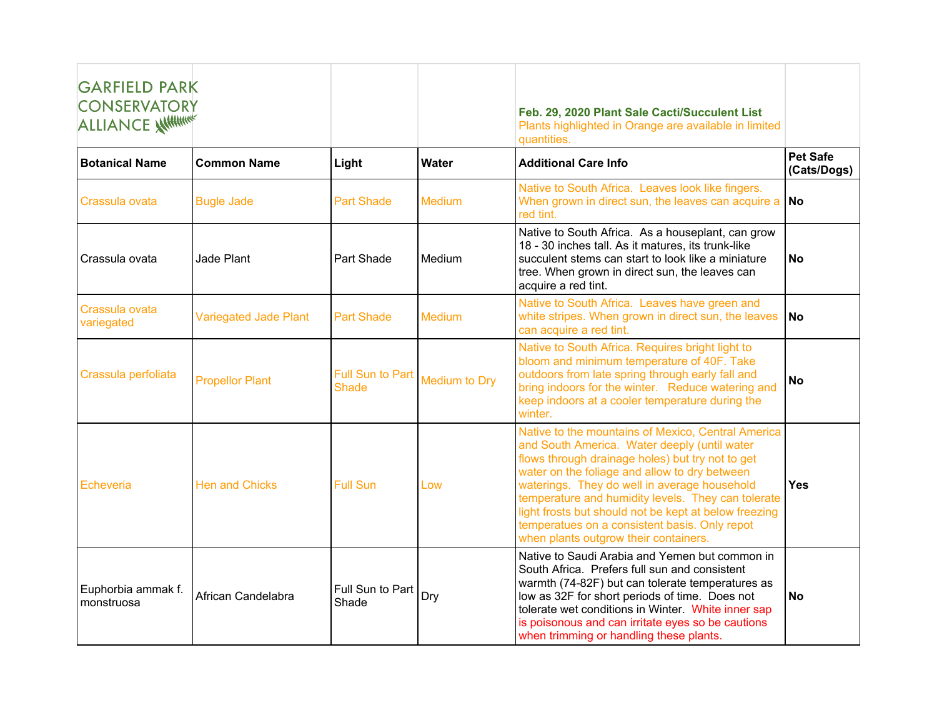| <b>GARFIELD PARK</b><br><b>CONSERVATORY</b><br>ALLIANCE ANTIHA |                              |                                         |               | Feb. 29, 2020 Plant Sale Cacti/Succulent List<br>Plants highlighted in Orange are available in limited<br>auantities.                                                                                                                                                                                                                                                                                                                                            |                                |
|----------------------------------------------------------------|------------------------------|-----------------------------------------|---------------|------------------------------------------------------------------------------------------------------------------------------------------------------------------------------------------------------------------------------------------------------------------------------------------------------------------------------------------------------------------------------------------------------------------------------------------------------------------|--------------------------------|
| <b>Botanical Name</b>                                          | <b>Common Name</b>           | Light                                   | Water         | <b>Additional Care Info</b>                                                                                                                                                                                                                                                                                                                                                                                                                                      | <b>Pet Safe</b><br>(Cats/Dogs) |
| Crassula ovata                                                 | <b>Bugle Jade</b>            | <b>Part Shade</b>                       | <b>Medium</b> | Native to South Africa. Leaves look like fingers.<br>When grown in direct sun, the leaves can acquire a<br>red tint.                                                                                                                                                                                                                                                                                                                                             | <b>No</b>                      |
| Crassula ovata                                                 | Jade Plant                   | Part Shade                              | Medium        | Native to South Africa. As a houseplant, can grow<br>18 - 30 inches tall. As it matures, its trunk-like<br>succulent stems can start to look like a miniature<br>tree. When grown in direct sun, the leaves can<br>acquire a red tint.                                                                                                                                                                                                                           | <b>No</b>                      |
| Crassula ovata<br>variegated                                   | <b>Variegated Jade Plant</b> | <b>Part Shade</b>                       | Medium        | Native to South Africa. Leaves have green and<br>white stripes. When grown in direct sun, the leaves<br>can acquire a red tint.                                                                                                                                                                                                                                                                                                                                  | <b>No</b>                      |
| Crassula perfoliata                                            | <b>Propellor Plant</b>       | <b>Full Sun to Part</b><br><b>Shade</b> | Medium to Dry | Native to South Africa. Requires bright light to<br>bloom and minimum temperature of 40F. Take<br>outdoors from late spring through early fall and<br>bring indoors for the winter. Reduce watering and<br>keep indoors at a cooler temperature during the<br>winter.                                                                                                                                                                                            | <b>No</b>                      |
| <b>Echeveria</b>                                               | <b>Hen and Chicks</b>        | <b>Full Sun</b>                         | Low           | Native to the mountains of Mexico, Central America<br>and South America. Water deeply (until water<br>flows through drainage holes) but try not to get<br>water on the foliage and allow to dry between<br>waterings. They do well in average household<br>temperature and humidity levels. They can tolerate<br>light frosts but should not be kept at below freezing<br>temperatues on a consistent basis. Only repot<br>when plants outgrow their containers. | <b>Yes</b>                     |
| Euphorbia ammak f.<br>monstruosa                               | African Candelabra           | Full Sun to Part<br>Shade               | Dry           | Native to Saudi Arabia and Yemen but common in<br>South Africa. Prefers full sun and consistent<br>warmth (74-82F) but can tolerate temperatures as<br>low as 32F for short periods of time. Does not<br>tolerate wet conditions in Winter. White inner sap<br>is poisonous and can irritate eyes so be cautions<br>when trimming or handling these plants.                                                                                                      | <b>No</b>                      |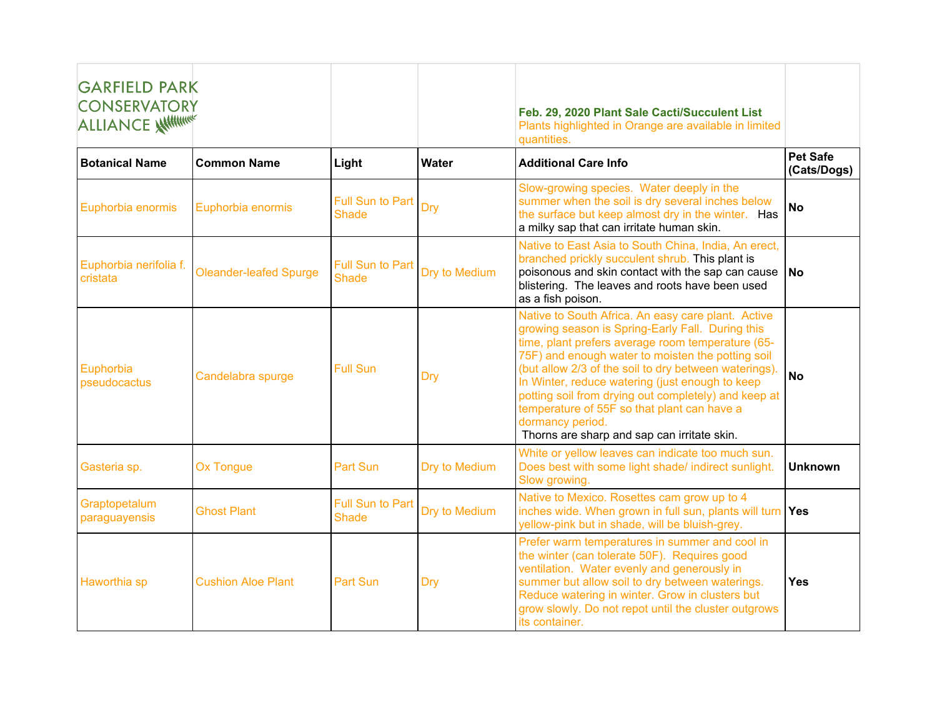| <b>GARFIELD PARK</b><br><b>CONSERVATORY</b><br><b>ALLIANCE WITHING!</b> |                               |                                         |               | Feb. 29, 2020 Plant Sale Cacti/Succulent List<br>Plants highlighted in Orange are available in limited<br>quantities.                                                                                                                                                                                                                                                                                                                                                                                  |                                |
|-------------------------------------------------------------------------|-------------------------------|-----------------------------------------|---------------|--------------------------------------------------------------------------------------------------------------------------------------------------------------------------------------------------------------------------------------------------------------------------------------------------------------------------------------------------------------------------------------------------------------------------------------------------------------------------------------------------------|--------------------------------|
| <b>Botanical Name</b>                                                   | <b>Common Name</b>            | Light                                   | Water         | <b>Additional Care Info</b>                                                                                                                                                                                                                                                                                                                                                                                                                                                                            | <b>Pet Safe</b><br>(Cats/Dogs) |
| Euphorbia enormis                                                       | Euphorbia enormis             | Full Sun to Part<br><b>Shade</b>        | Dry           | Slow-growing species. Water deeply in the<br>summer when the soil is dry several inches below<br>the surface but keep almost dry in the winter. Has<br>a milky sap that can irritate human skin.                                                                                                                                                                                                                                                                                                       | <b>No</b>                      |
| Euphorbia nerifolia f.<br>cristata                                      | <b>Oleander-leafed Spurge</b> | <b>Full Sun to Part</b><br><b>Shade</b> | Dry to Medium | Native to East Asia to South China, India, An erect,<br>branched prickly succulent shrub. This plant is<br>poisonous and skin contact with the sap can cause<br>blistering. The leaves and roots have been used<br>as a fish poison.                                                                                                                                                                                                                                                                   | <b>No</b>                      |
| Euphorbia<br>pseudocactus                                               | Candelabra spurge             | <b>Full Sun</b>                         | Dry           | Native to South Africa. An easy care plant. Active<br>growing season is Spring-Early Fall. During this<br>time, plant prefers average room temperature (65-<br>75F) and enough water to moisten the potting soil<br>(but allow 2/3 of the soil to dry between waterings).<br>In Winter, reduce watering (just enough to keep<br>potting soil from drying out completely) and keep at<br>temperature of 55F so that plant can have a<br>dormancy period.<br>Thorns are sharp and sap can irritate skin. | <b>No</b>                      |
| Gasteria sp.                                                            | <b>Ox Tongue</b>              | Part Sun                                | Dry to Medium | White or yellow leaves can indicate too much sun.<br>Does best with some light shade/ indirect sunlight.<br>Slow growing.                                                                                                                                                                                                                                                                                                                                                                              | <b>Unknown</b>                 |
| Graptopetalum<br>paraguayensis                                          | <b>Ghost Plant</b>            | Full Sun to Part<br><b>Shade</b>        | Dry to Medium | Native to Mexico. Rosettes cam grow up to 4<br>inches wide. When grown in full sun, plants will turn<br>yellow-pink but in shade, will be bluish-grey.                                                                                                                                                                                                                                                                                                                                                 | Yes                            |
| Haworthia sp                                                            | <b>Cushion Aloe Plant</b>     | <b>Part Sun</b>                         | Dry           | Prefer warm temperatures in summer and cool in<br>the winter (can tolerate 50F). Requires good<br>ventilation. Water evenly and generously in<br>summer but allow soil to dry between waterings.<br>Reduce watering in winter. Grow in clusters but<br>grow slowly. Do not repot until the cluster outgrows<br>its container.                                                                                                                                                                          | Yes                            |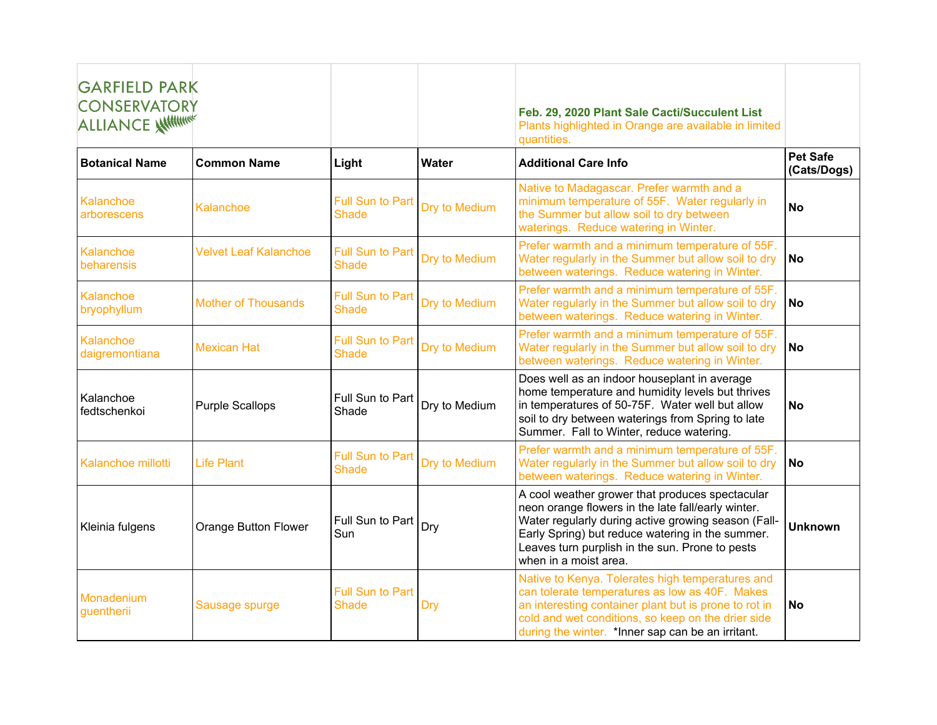| <b>GARFIELD PARK</b><br><b>CONSERVATORY</b><br><b>ALLIANCE WILLIAM</b> |                              |                                         |               | Feb. 29, 2020 Plant Sale Cacti/Succulent List<br>Plants highlighted in Orange are available in limited<br>quantities.                                                                                                                                                                        |                                |
|------------------------------------------------------------------------|------------------------------|-----------------------------------------|---------------|----------------------------------------------------------------------------------------------------------------------------------------------------------------------------------------------------------------------------------------------------------------------------------------------|--------------------------------|
| <b>Botanical Name</b>                                                  | <b>Common Name</b>           | Light                                   | Water         | <b>Additional Care Info</b>                                                                                                                                                                                                                                                                  | <b>Pet Safe</b><br>(Cats/Dogs) |
| Kalanchoe<br>arborescens                                               | Kalanchoe                    | <b>Full Sun to Part</b><br><b>Shade</b> | Dry to Medium | Native to Madagascar. Prefer warmth and a<br>minimum temperature of 55F. Water regularly in<br>the Summer but allow soil to dry between<br>waterings. Reduce watering in Winter.                                                                                                             | <b>No</b>                      |
| Kalanchoe<br>beharensis                                                | <b>Velvet Leaf Kalanchoe</b> | Full Sun to Part<br><b>Shade</b>        | Dry to Medium | Prefer warmth and a minimum temperature of 55F.<br>Water regularly in the Summer but allow soil to dry<br>between waterings. Reduce watering in Winter.                                                                                                                                      | <b>No</b>                      |
| Kalanchoe<br>bryophyllum                                               | <b>Mother of Thousands</b>   | <b>Full Sun to Part</b><br><b>Shade</b> | Dry to Medium | Prefer warmth and a minimum temperature of 55F.<br>Water regularly in the Summer but allow soil to dry<br>between waterings. Reduce watering in Winter.                                                                                                                                      | <b>No</b>                      |
| Kalanchoe<br>daigremontiana                                            | <b>Mexican Hat</b>           | <b>Full Sun to Part</b><br><b>Shade</b> | Dry to Medium | Prefer warmth and a minimum temperature of 55F.<br>Water regularly in the Summer but allow soil to dry<br>between waterings. Reduce watering in Winter.                                                                                                                                      | <b>No</b>                      |
| Kalanchoe<br>fedtschenkoi                                              | <b>Purple Scallops</b>       | Full Sun to Part<br>Shade               | Dry to Medium | Does well as an indoor houseplant in average<br>home temperature and humidity levels but thrives<br>in temperatures of 50-75F. Water well but allow<br>soil to dry between waterings from Spring to late<br>Summer. Fall to Winter, reduce watering.                                         | <b>No</b>                      |
| Kalanchoe millotti                                                     | <b>Life Plant</b>            | Full Sun to Part<br><b>Shade</b>        | Dry to Medium | Prefer warmth and a minimum temperature of 55F.<br>Water regularly in the Summer but allow soil to dry<br>between waterings. Reduce watering in Winter.                                                                                                                                      | <b>No</b>                      |
| Kleinia fulgens                                                        | Orange Button Flower         | Full Sun to Part<br>Sun                 | Dry           | A cool weather grower that produces spectacular<br>neon orange flowers in the late fall/early winter.<br>Water regularly during active growing season (Fall-<br>Early Spring) but reduce watering in the summer.<br>Leaves turn purplish in the sun. Prone to pests<br>when in a moist area. | <b>Unknown</b>                 |
| Monadenium<br>guentherii                                               | Sausage spurge               | <b>Full Sun to Part</b><br><b>Shade</b> | Dry           | Native to Kenya. Tolerates high temperatures and<br>can tolerate temperatures as low as 40F. Makes<br>an interesting container plant but is prone to rot in<br>cold and wet conditions, so keep on the drier side<br>during the winter. *Inner sap can be an irritant.                       | <b>No</b>                      |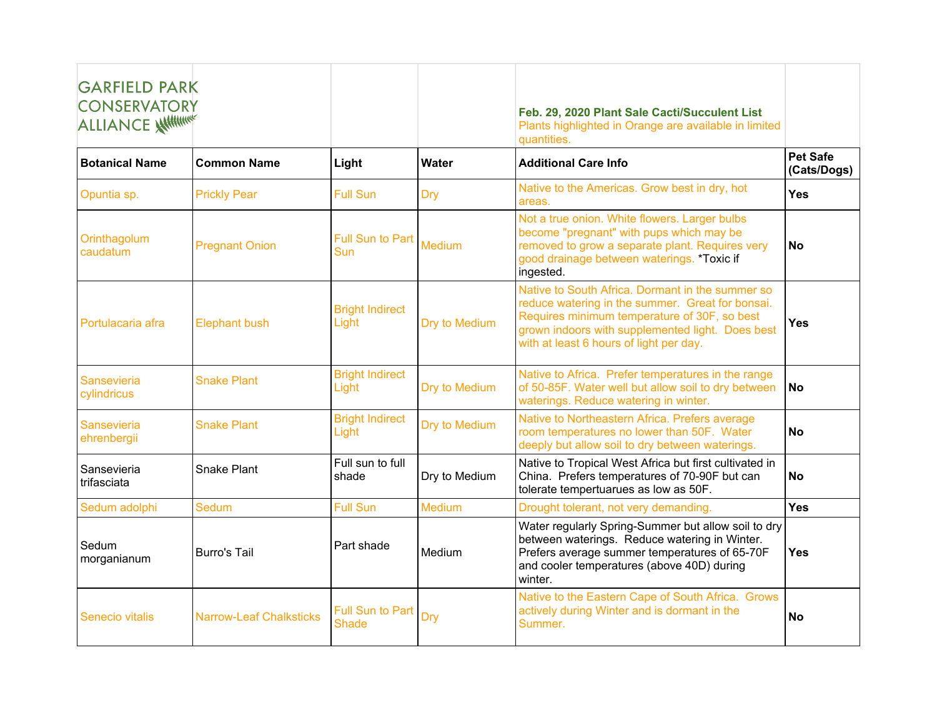| <b>GARFIELD PARK</b><br><b>CONSERVATORY</b><br><b>ALLIANCE WITHING!</b> |                                |                                  |               | Feb. 29, 2020 Plant Sale Cacti/Succulent List<br>Plants highlighted in Orange are available in limited<br>quantities.                                                                                                                               |                                |
|-------------------------------------------------------------------------|--------------------------------|----------------------------------|---------------|-----------------------------------------------------------------------------------------------------------------------------------------------------------------------------------------------------------------------------------------------------|--------------------------------|
| <b>Botanical Name</b>                                                   | <b>Common Name</b>             | Light                            | Water         | <b>Additional Care Info</b>                                                                                                                                                                                                                         | <b>Pet Safe</b><br>(Cats/Dogs) |
| Opuntia sp.                                                             | <b>Prickly Pear</b>            | <b>Full Sun</b>                  | <b>Dry</b>    | Native to the Americas. Grow best in dry, hot<br>areas.                                                                                                                                                                                             | <b>Yes</b>                     |
| Orinthagolum<br>caudatum                                                | <b>Pregnant Onion</b>          | <b>Full Sun to Part</b><br>Sun   | <b>Medium</b> | Not a true onion. White flowers. Larger bulbs<br>become "pregnant" with pups which may be<br>removed to grow a separate plant. Requires very<br>good drainage between waterings. *Toxic if<br>ingested.                                             | <b>No</b>                      |
| Portulacaria afra                                                       | <b>Elephant bush</b>           | <b>Bright Indirect</b><br>Light  | Dry to Medium | Native to South Africa. Dormant in the summer so<br>reduce watering in the summer. Great for bonsai.<br>Requires minimum temperature of 30F, so best<br>grown indoors with supplemented light. Does best<br>with at least 6 hours of light per day. | Yes                            |
| Sansevieria<br>cylindricus                                              | <b>Snake Plant</b>             | <b>Bright Indirect</b><br>Light  | Dry to Medium | Native to Africa. Prefer temperatures in the range<br>of 50-85F. Water well but allow soil to dry between<br>waterings. Reduce watering in winter.                                                                                                  | <b>No</b>                      |
| Sansevieria<br>ehrenbergii                                              | <b>Snake Plant</b>             | <b>Bright Indirect</b><br>Light  | Dry to Medium | Native to Northeastern Africa. Prefers average<br>room temperatures no lower than 50F. Water<br>deeply but allow soil to dry between waterings.                                                                                                     | <b>No</b>                      |
| Sansevieria<br>trifasciata                                              | <b>Snake Plant</b>             | Full sun to full<br>shade        | Dry to Medium | Native to Tropical West Africa but first cultivated in<br>China. Prefers temperatures of 70-90F but can<br>tolerate tempertuarues as low as 50F.                                                                                                    | <b>No</b>                      |
| Sedum adolphi                                                           | <b>Sedum</b>                   | <b>Full Sun</b>                  | Medium        | Drought tolerant, not very demanding.                                                                                                                                                                                                               | Yes                            |
| Sedum<br>morganianum                                                    | <b>Burro's Tail</b>            | Part shade                       | Medium        | Water regularly Spring-Summer but allow soil to dry<br>between waterings. Reduce watering in Winter.<br>Prefers average summer temperatures of 65-70F<br>and cooler temperatures (above 40D) during<br>winter.                                      | <b>Yes</b>                     |
| <b>Senecio vitalis</b>                                                  | <b>Narrow-Leaf Chalksticks</b> | <b>Full Sun to Part</b><br>Shade | Dry           | Native to the Eastern Cape of South Africa. Grows<br>actively during Winter and is dormant in the<br>Summer.                                                                                                                                        | <b>No</b>                      |